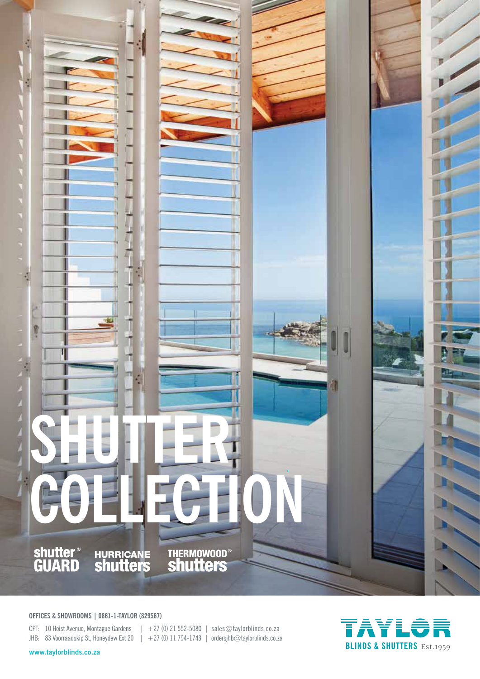

**OFFICES & SHOWROOMS | 0861-1-TAYLOR (829567)**

CPT: 10 Hoist Avenue, Montague Gardens  $| +27(0) 21 552-5080 |$  sales@taylorblinds.co.za JHB: 83 Voorraadskip St, Honeydew Ext 20 | +27 (0) 11 794-1743 | ordersjhb@taylorblinds.co.za

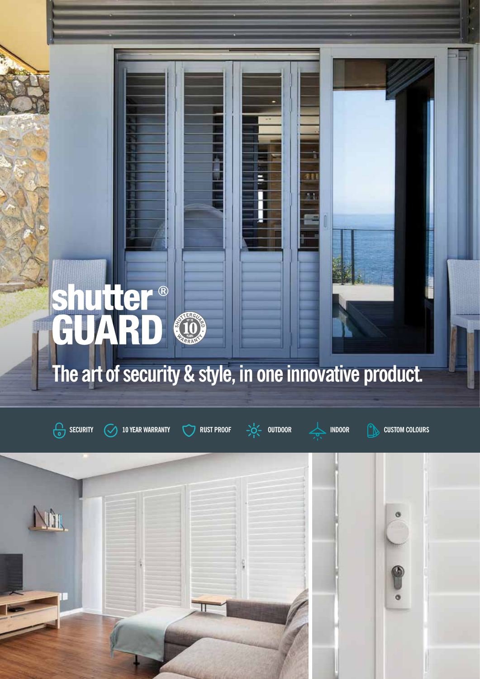# utter® **NERGY**

The GLobal Favourite in Window Decoration in Window Decoration in Window Decoration in Window Decoration in Window

## **The art of security & style, in one innovative product.**



**VOIR** 





学者

g i

Ġ

 $\overline{\bullet}$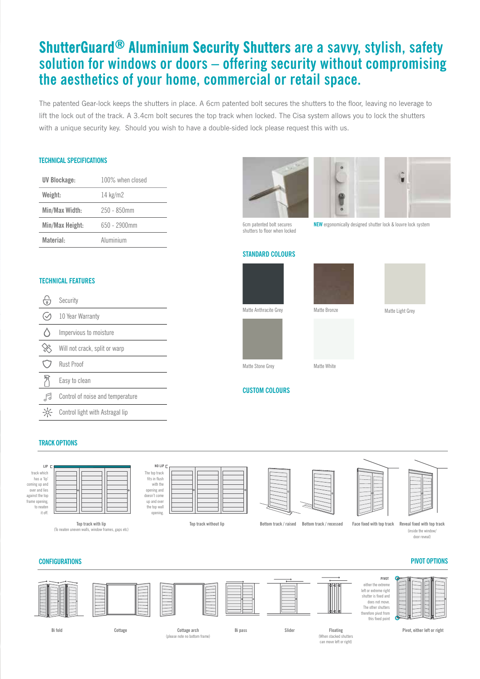## **ShutterGuard® Aluminium Security Shutters are a savvy, stylish, safety solution for windows or doors – offering security without compromising the aesthetics of your home, commercial or retail space.**

The patented Gear-lock keeps the shutters in place. A 6cm patented bolt secures the shutters to the floor, leaving no leverage to lift the lock out of the track. A 3.4cm bolt secures the top track when locked. The Cisa system allows you to lock the shutters with a unique security key. Should you wish to have a double-sided lock please request this with us.

## **TECHNICAL SPECIFICATIONS**

| UV Blockage:    | 100% when closed |
|-----------------|------------------|
| Weight:         | 14 $kg/m2$       |
| Min/Max Width:  | $250 - 850$ mm   |
| Min/Max Height: | 650 - 2900mm     |
| Material:       | Aluminium        |





6cm patented bolt secures shutters to floor when locked

**NEW** ergonomically designed shutter lock & louvre lock system

## **STANDARD COLOURS**





## **TECHNICAL FEATURES**

| Security                         |
|----------------------------------|
| 10 Year Warranty                 |
| Impervious to moisture           |
| Will not crack, split or warp    |
| Rust Proof                       |
| Easy to clean                    |
| Control of noise and temperature |
| Control light with Astragal lip  |



### **TRACK OPTIONS**

**LIP** track which has a 'lip' coming up and over and lies against the top frame opening to nea

it off.

|  | е | r |
|--|---|---|
|  |   | d |
|  |   |   |

**Top track with lip** (To neaten uneven walls, window frames, gaps etc)

he top track fits in flush with the opening and doesn't come up and over the top wall opening.

**NO LIP**

**Top track without lip**





(inside the window/ door reveal)

### **CONFIGURATIONS**



**PIVOT OPTIONS**

(please note no bottom frame)

(When stacked shu can move left or right) **Pivot, either left or right**

# **CUSTOM COLOURS**

| ۱d | Bottom track / recess |  |
|----|-----------------------|--|
|    |                       |  |
|    |                       |  |

## **Bottom track / raised Bottom track / recessed Face fixed with top track Reveal fixed with top track**

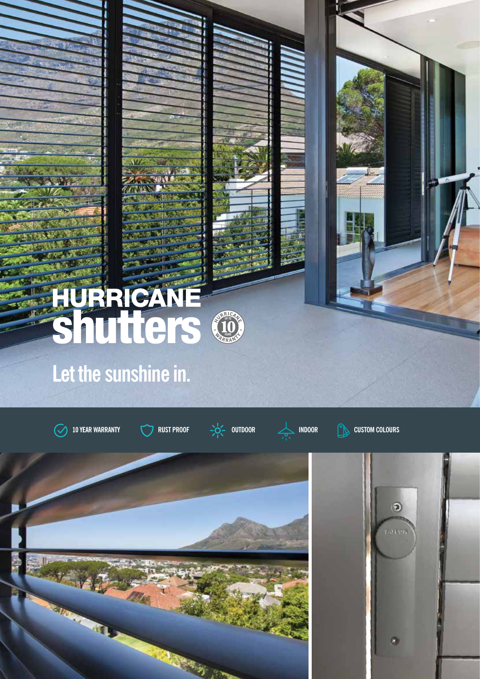

## **Let the sunshine in.**

**10 YEAR WARRANTY RUST PROOF OUTDOOR INDOOR CUSTOM COLOURS**





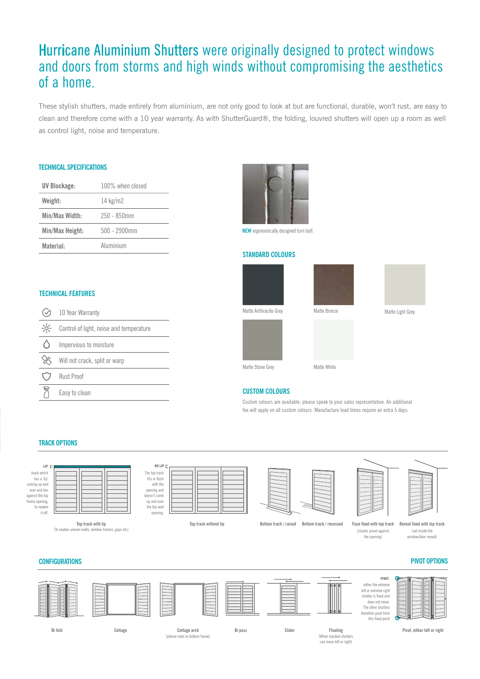## Hurricane Aluminium Shutters were originally designed to protect windows and doors from storms and high winds without compromising the aesthetics of a home.

These stylish shutters, made entirely from aluminium, are not only good to look at but are functional, durable, won't rust, are easy to clean and therefore come with a 10 year warranty. As with ShutterGuard®, the folding, louvred shutters will open up a room as well as control light, noise and temperature.

## **TECHNICAL SPECIFICATIONS**

| UV Blockage:    | 100% when closed |
|-----------------|------------------|
| Weight:         | 14 $kg/m2$       |
| Min/Max Width:  | 250 - 850mm      |
| Min/Max Height: | $500 - 2900$ mm  |
| Material:       | Aluminium        |



**NEW** ergonomically designed turn bolt

## **STANDARD COLOURS**







10 Year Warranty  $\odot$ 

**TECHNICAL FEATURES**

| $-\frac{1}{2}C$ |  |  |  | Control of light, noise and temperature |
|-----------------|--|--|--|-----------------------------------------|
|-----------------|--|--|--|-----------------------------------------|

|  | Impervious to moisture |
|--|------------------------|
|--|------------------------|

| ℅ |  | Will not crack, split or warp |  |  |  |
|---|--|-------------------------------|--|--|--|
|---|--|-------------------------------|--|--|--|

- Rust Proof
- 歼 Easy to clean

## **CUSTOM COLOURS**

Custom colours are available, please speak to your sales representative. An additional fee will apply on all custom colours. Manufacture lead times require an extra 5 days.

### **TRACK OPTIONS**



it off.

**Top track with lip** (To neaten uneven walls, window frames, gaps etc)

| NO LIP C                                                                                                             |  |  |
|----------------------------------------------------------------------------------------------------------------------|--|--|
| The top track<br>fits in flush<br>with the<br>opening and<br>doesn't come<br>up and over<br>the top wall<br>opening. |  |  |
|                                                                                                                      |  |  |

**Top track without lip**



**Bottom track / raised Bottom track / recessed Face fixed with top track Reveal fixed with top track**





## **CONFIGURATIONS**



(please note no bottom frame)

(When stacked shutters can move left or right)

**Pivot, either left or right**

**PIVOT OPTIONS**

Matte Anthracite Grey Matte Bronze Matte Light Grey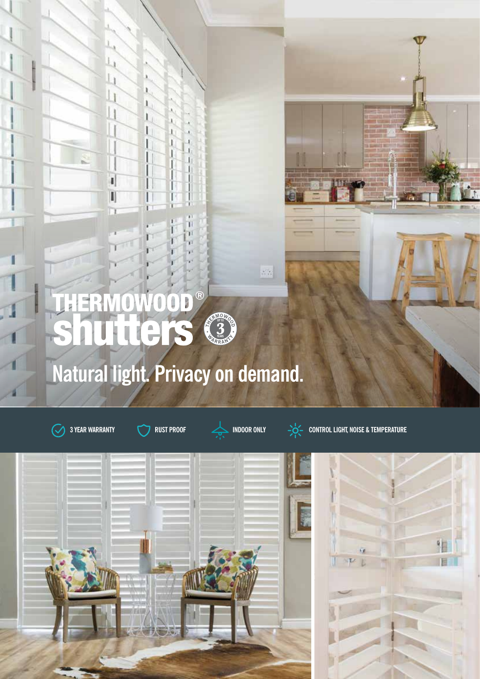





 $\overline{\mathbb{R}^n}$ 



**3 YEAR WARRANTY RUST PROOF INDOOR ONLY CONTROL LIGHT, NOISE & TEMPERATURE**

## $\circ$ OD HER Ō **Tters UP TO YEARSNatural light. Privacy on demand.**

THE GLOBAL FAVOURITE IN WINDOW DECISION OF THE GLOBAL FAVOURITE IN WINDOW DECISION OF THE GLOBAL FAXOURITE IN WINDOW DECISION OF THE GLOBAL FAXOURITE IN WINDOW DECISION OF THE GLOBAL FAXOURITE IN THE GLOBAL FAXOURITE IN TH

ī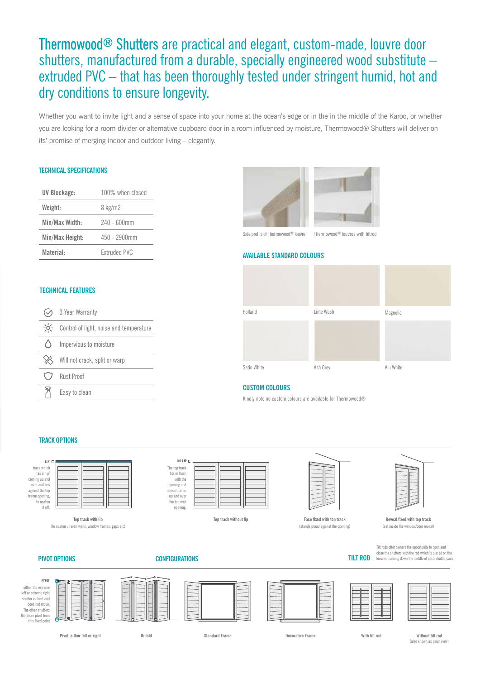## Thermowood® Shutters are practical and elegant, custom-made, louvre door shutters, manufactured from a durable, specially engineered wood substitute – extruded PVC – that has been thoroughly tested under stringent humid, hot and dry conditions to ensure longevity.

Whether you want to invite light and a sense of space into your home at the ocean's edge or in the in the middle of the Karoo, or whether you are looking for a room divider or alternative cupboard door in a room influenced by moisture, Thermowood® Shutters will deliver on its' promise of merging indoor and outdoor living – elegantly.

## **TECHNICAL SPECIFICATIONS**

| UV Blockage:    | 100% when closed    |
|-----------------|---------------------|
| Weight:         | 8 kg/m2             |
| Min/Max Width:  | 240 - 600mm         |
| Min/Max Height: | 450 - 2900mm        |
| Material:       | <b>Extruded PVC</b> |

## **TECHNICAL FEATURES**

| 3 Year Warranty                         |
|-----------------------------------------|
| Control of light, noise and temperature |
| Impervious to moisture                  |
| Will not crack, split or warp           |
| <b>Rust Proof</b>                       |
| Easy to clean                           |



## **AVAILABLE STANDARD COLOURS**



## **CUSTOM COLOURS**

Kindly note no custom colours are available for Thermowood®

## **TRACK OPTIONS**



**Top track with lip** (To neaten uneven walls, window frames, gaps etc)

## **PIVOT OPTIONS**



**Top track without lip**



**Face fixed with top track Reveal fixed with top track** (stands proud against the opening) (set inside the window/door reveal)



Tilt rods offer owners the opportunity to open and close the shutters with the rod which is placed on the louvres, running down the middle of each shutter pane.



**Pivot, either left or right**

**CONFIGURATIONS**

**Standard Frame Decorative Frame**

**TILT ROD**

**Bi fold With tilt rod Without tilt rod** (also known as clear view)